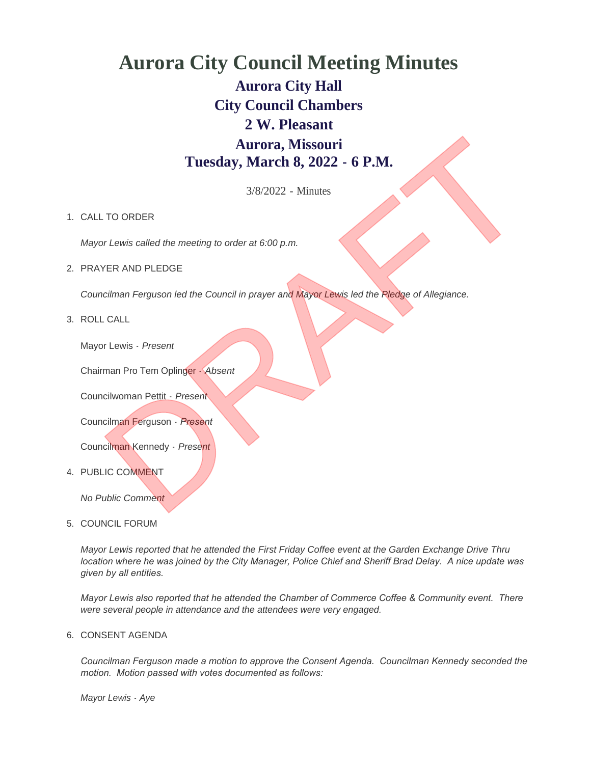# **Aurora City Council Meeting Minutes Aurora City Hall City Council Chambers 2 W. Pleasant Aurora, Missouri Tuesday, March 8, 2022 - 6 P.M.** Aurora, Missouri<br>
Tuesday, March 8, 2022 - 6 P.M.<br>
3/8/2022 - Minutes<br>
TO ORDER<br>
THE AND PLEDGE<br>
NER AND PLEDGE<br>
CRIMENT<br>
CRIMENT<br>
INTERNATION PROGRAM CONDITIONS TO THE PROGRAM CHANGE OF All USING PROGRAM<br>
CRIMENT<br>
CRIMENT

3/8/2022 - Minutes

## 1. CALL TO ORDER

*Mayor Lewis called the meeting to order at 6:00 p.m.*

2. PRAYER AND PLEDGE

*Councilman Ferguson led the Council in prayer and Mayor Lewis led the Pledge of Allegiance.*

ROLL CALL 3.

Mayor Lewis - *Present*

Chairman Pro Tem Oplinger - *Absent*

Councilwoman Pettit - *Present*

Councilman Ferguson - *Present*

Councilman Kennedy - *Present*

4. PUBLIC COMMENT

*No Public Comment*

5. COUNCIL FORUM

*Mayor Lewis reported that he attended the First Friday Coffee event at the Garden Exchange Drive Thru location where he was joined by the City Manager, Police Chief and Sheriff Brad Delay. A nice update was given by all entities.* 

*Mayor Lewis also reported that he attended the Chamber of Commerce Coffee & Community event. There were several people in attendance and the attendees were very engaged.*

6. CONSENT AGENDA

*Councilman Ferguson made a motion to approve the Consent Agenda. Councilman Kennedy seconded the motion. Motion passed with votes documented as follows:*

*Mayor Lewis - Aye*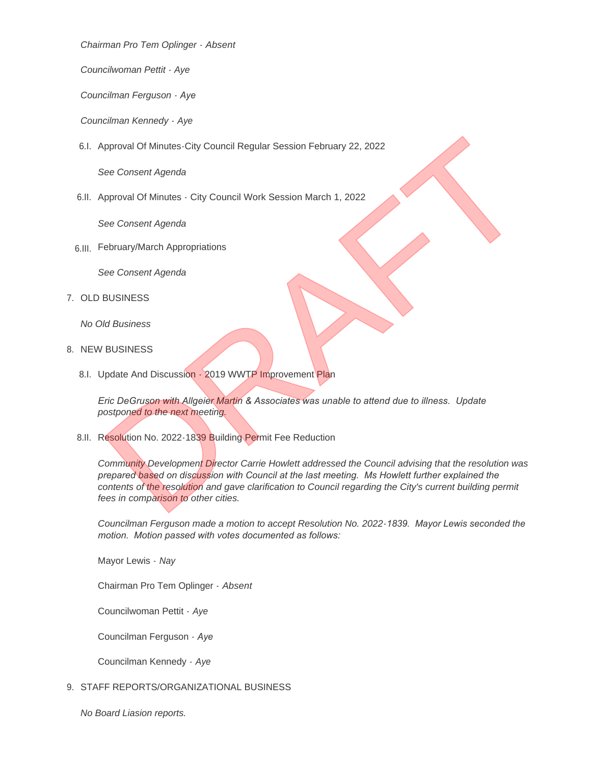*Chairman Pro Tem Oplinger - Absent*

*Councilwoman Pettit - Aye*

*Councilman Ferguson - Aye*

*Councilman Kennedy - Aye*

6.I. Approval Of Minutes-City Council Regular Session February 22, 2022

*See Consent Agenda*

6.II. Approval Of Minutes - City Council Work Session March 1, 2022

*See Consent Agenda*

February/March Appropriations 6.III.

*See Consent Agenda*

7. OLD BUSINESS

*No Old Business*

- 8. NEW BUSINESS
	- 8.I. Update And Discussion 2019 WWTP Improvement Plan

*Eric DeGruson with Allgeier Martin & Associates was unable to attend due to illness. Update postponed to the next meeting.*

8.II. Resolution No. 2022-1839 Building Permit Fee Reduction

*Community Development Director Carrie Howlett addressed the Council advising that the resolution was prepared based on discussion with Council at the last meeting. Ms Howlett further explained the contents of the resolution and gave clarification to Council regarding the City's current building permit fees in comparison to other cities.* pproval Of Minutes - City Council Regular Session February 22, 2022<br>See Consent Agenda<br>Deproval Of Minutes - City Council Work Session March 1, 2022<br>Dee Consent Agenda<br>Desconsent Agenda<br>BUSINESS<br>RIG Business<br>Depart of DeGr

*Councilman Ferguson made a motion to accept Resolution No. 2022-1839. Mayor Lewis seconded the motion. Motion passed with votes documented as follows:*

Mayor Lewis - *Nay*

Chairman Pro Tem Oplinger - *Absent*

Councilwoman Pettit - *Aye*

Councilman Ferguson - *Aye*

Councilman Kennedy - *Aye*

9. STAFF REPORTS/ORGANIZATIONAL BUSINESS

*No Board Liasion reports.*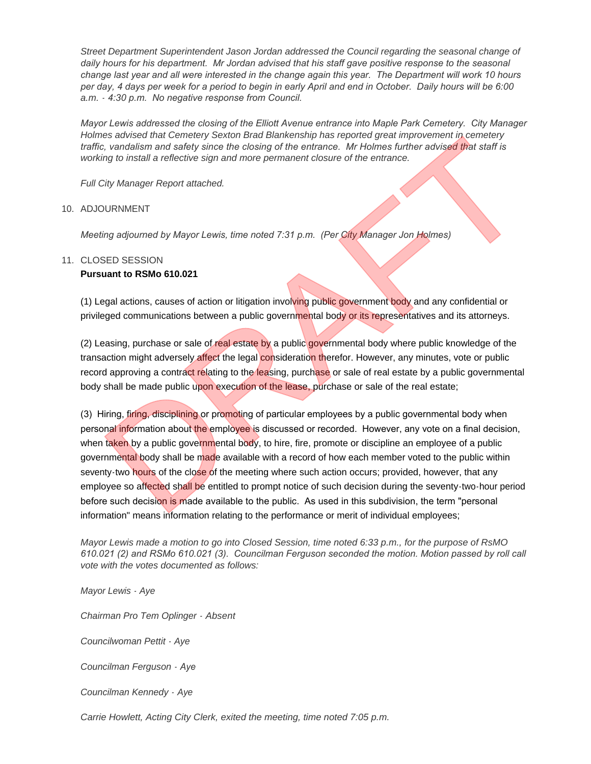*Street Department Superintendent Jason Jordan addressed the Council regarding the seasonal change of daily hours for his department. Mr Jordan advised that his staff gave positive response to the seasonal change last year and all were interested in the change again this year. The Department will work 10 hours per day, 4 days per week for a period to begin in early April and end in October. Daily hours will be 6:00 a.m. - 4:30 p.m. No negative response from Council.*

*Mayor Lewis addressed the closing of the Elliott Avenue entrance into Maple Park Cemetery. City Manager Holmes advised that Cemetery Sexton Brad Blankenship has reported great improvement in cemetery traffic, vandalism and safety since the closing of the entrance. Mr Holmes further advised that staff is working to install a reflective sign and more permanent closure of the entrance.*

*Full City Manager Report attached.*

#### 10. ADJOURNMENT

*Meeting adjourned by Mayor Lewis, time noted 7:31 p.m. (Per City Manager Jon Holmes)*

## 11. CLOSED SESSION

# **Pursuant to RSMo 610.021**

(1) Legal actions, causes of action or litigation involving public government body and any confidential or privileged communications between a public governmental body or its representatives and its attorneys.

(2) Leasing, purchase or sale of real estate by a public governmental body where public knowledge of the transaction might adversely affect the legal consideration therefor. However, any minutes, vote or public record approving a contract relating to the leasing, purchase or sale of real estate by a public governmental body shall be made public upon execution of the lease, purchase or sale of the real estate;

(3) Hiring, firing, disciplining or promoting of particular employees by a public governmental body when personal information about the employee is discussed or recorded. However, any vote on a final decision, when taken by a public governmental body, to hire, fire, promote or discipline an employee of a public governmental body shall be made available with a record of how each member voted to the public within seventy-two hours of the close of the meeting where such action occurs; provided, however, that any employee so affected shall be entitled to prompt notice of such decision during the seventy-two-hour period before such decision is made available to the public. As used in this subdivision, the term "personal information" means information relating to the performance or merit of individual employees; es advised that Genetery Sexton Brad Biankenship has reported great improvement in cernation<br>to consider the state of the state of the entrance. Mr Holmes further advised that start is<br>ing to install a reflective sign and

*Mayor Lewis made a motion to go into Closed Session, time noted 6:33 p.m., for the purpose of RsMO 610.021 (2) and RSMo 610.021 (3). Councilman Ferguson seconded the motion. Motion passed by roll call vote with the votes documented as follows:*

*Mayor Lewis - Aye*

*Chairman Pro Tem Oplinger - Absent*

*Councilwoman Pettit - Aye*

*Councilman Ferguson - Aye*

*Councilman Kennedy - Aye*

*Carrie Howlett, Acting City Clerk, exited the meeting, time noted 7:05 p.m.*